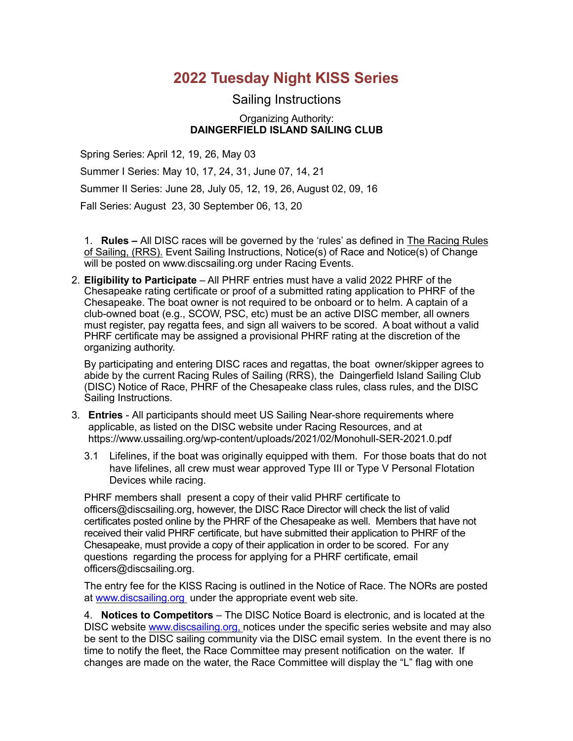# **2022 Tuesday Night KISS Series**

# Sailing Instructions

#### Organizing Authority: **DAINGERFIELD ISLAND SAILING CLUB**

Spring Series: April 12, 19, 26, May 03

Summer I Series: May 10, 17, 24, 31, June 07, 14, 21

Summer II Series: June 28, July 05, 12, 19, 26, August 02, 09, 16

Fall Series: August 23, 30 September 06, 13, 20

1. **Rules –** All DISC races will be governed by the 'rules' as defined in The Racing Rules of Sailing, (RRS). Event Sailing Instructions, Notice(s) of Race and Notice(s) of Change will be posted on www.discsailing.org under Racing Events.

2. **Eligibility to Participate** – All PHRF entries must have a valid 2022 PHRF of the Chesapeake rating certificate or proof of a submitted rating application to PHRF of the Chesapeake. The boat owner is not required to be onboard or to helm. A captain of a club-owned boat (e.g., SCOW, PSC, etc) must be an active DISC member, all owners must register, pay regatta fees, and sign all waivers to be scored. A boat without a valid PHRF certificate may be assigned a provisional PHRF rating at the discretion of the organizing authority.

By participating and entering DISC races and regattas, the boat owner/skipper agrees to abide by the current Racing Rules of Sailing (RRS), the Daingerfield Island Sailing Club (DISC) Notice of Race, PHRF of the Chesapeake class rules, class rules, and the DISC Sailing Instructions.

- 3. **Entries** All participants should meet US Sailing Near-shore requirements where applicable, as listed on the DISC website under Racing Resources, and at https://www.ussailing.org/wp-content/uploads/2021/02/Monohull-SER-2021.0.pdf
	- 3.1 Lifelines, if the boat was originally equipped with them. For those boats that do not have lifelines, all crew must wear approved Type III or Type V Personal Flotation Devices while racing.

PHRF members shall present a copy of their valid PHRF certificate to officers@discsailing.org, however, the DISC Race Director will check the list of valid certificates posted online by the PHRF of the Chesapeake as well. Members that have not received their valid PHRF certificate, but have submitted their application to PHRF of the Chesapeake, must provide a copy of their application in order to be scored. For any questions regarding the process for applying for a PHRF certificate, email officers@discsailing.org.

The entry fee for the KISS Racing is outlined in the Notice of Race. The NORs are posted at www.discsailing.org under the appropriate event web site.

4. **Notices to Competitors** – The DISC Notice Board is electronic, and is located at the DISC website www.discsailing.org, notices under the specific series website and may also be sent to the DISC sailing community via the DISC email system. In the event there is no time to notify the fleet, the Race Committee may present notification on the water. If changes are made on the water, the Race Committee will display the "L" flag with one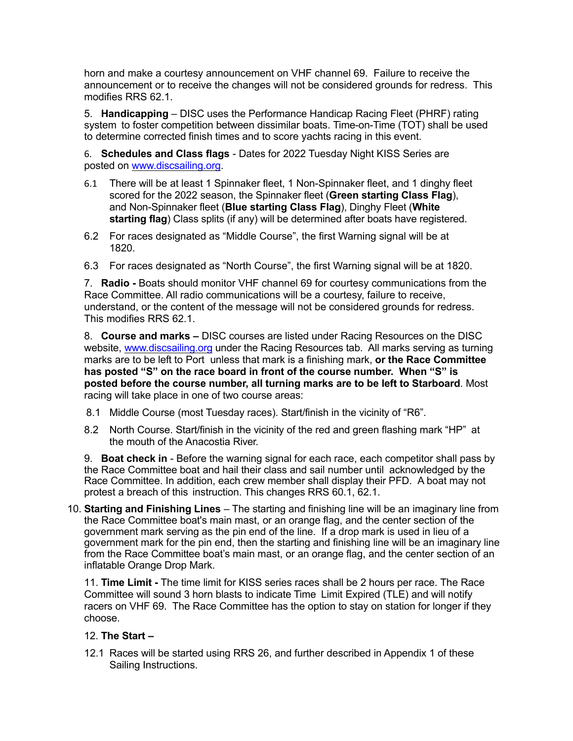horn and make a courtesy announcement on VHF channel 69. Failure to receive the announcement or to receive the changes will not be considered grounds for redress. This modifies RRS 62.1.

5. **Handicapping** – DISC uses the Performance Handicap Racing Fleet (PHRF) rating system to foster competition between dissimilar boats. Time-on-Time (TOT) shall be used to determine corrected finish times and to score yachts racing in this event.

6. **Schedules and Class flags** - Dates for 2022 Tuesday Night KISS Series are posted on www.discsailing.org.

- 6.1 There will be at least 1 Spinnaker fleet, 1 Non-Spinnaker fleet, and 1 dinghy fleet scored for the 2022 season, the Spinnaker fleet (**Green starting Class Flag**), and Non-Spinnaker fleet (**Blue starting Class Flag**), Dinghy Fleet (**White starting flag**) Class splits (if any) will be determined after boats have registered.
- 6.2 For races designated as "Middle Course", the first Warning signal will be at 1820.
- 6.3 For races designated as "North Course", the first Warning signal will be at 1820.

7. **Radio -** Boats should monitor VHF channel 69 for courtesy communications from the Race Committee. All radio communications will be a courtesy, failure to receive, understand, or the content of the message will not be considered grounds for redress. This modifies RRS 62.1.

8. **Course and marks –** DISC courses are listed under Racing Resources on the DISC website, www.discsailing.org under the Racing Resources tab. All marks serving as turning marks are to be left to Port unless that mark is a finishing mark, **or the Race Committee has posted "S" on the race board in front of the course number. When "S" is posted before the course number, all turning marks are to be left to Starboard**. Most racing will take place in one of two course areas:

- 8.1 Middle Course (most Tuesday races). Start/finish in the vicinity of "R6".
- 8.2 North Course. Start/finish in the vicinity of the red and green flashing mark "HP" at the mouth of the Anacostia River.

9. **Boat check in** - Before the warning signal for each race, each competitor shall pass by the Race Committee boat and hail their class and sail number until acknowledged by the Race Committee. In addition, each crew member shall display their PFD. A boat may not protest a breach of this instruction. This changes RRS 60.1, 62.1.

10. **Starting and Finishing Lines** – The starting and finishing line will be an imaginary line from the Race Committee boat's main mast, or an orange flag, and the center section of the government mark serving as the pin end of the line. If a drop mark is used in lieu of a government mark for the pin end, then the starting and finishing line will be an imaginary line from the Race Committee boat's main mast, or an orange flag, and the center section of an inflatable Orange Drop Mark.

11. **Time Limit -** The time limit for KISS series races shall be 2 hours per race. The Race Committee will sound 3 horn blasts to indicate Time Limit Expired (TLE) and will notify racers on VHF 69. The Race Committee has the option to stay on station for longer if they choose.

# 12. **The Start –**

12.1 Races will be started using RRS 26, and further described in Appendix 1 of these Sailing Instructions.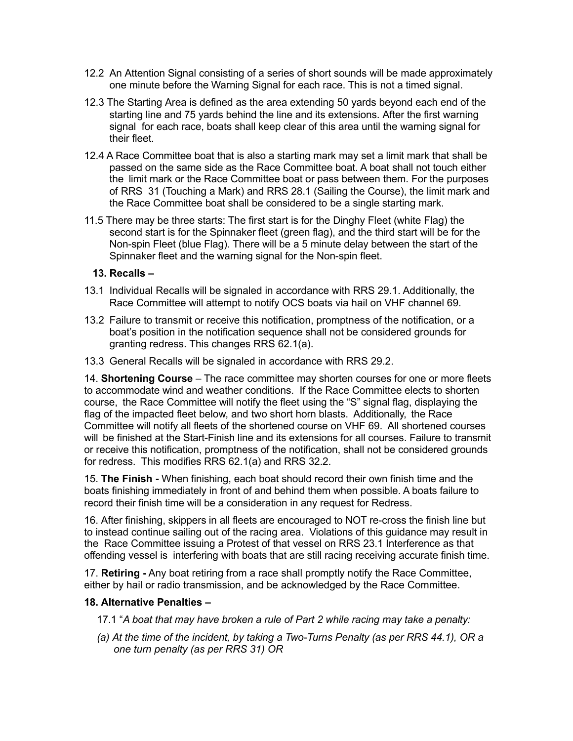- 12.2 An Attention Signal consisting of a series of short sounds will be made approximately one minute before the Warning Signal for each race. This is not a timed signal.
- 12.3 The Starting Area is defined as the area extending 50 yards beyond each end of the starting line and 75 yards behind the line and its extensions. After the first warning signal for each race, boats shall keep clear of this area until the warning signal for their fleet.
- 12.4 A Race Committee boat that is also a starting mark may set a limit mark that shall be passed on the same side as the Race Committee boat. A boat shall not touch either the limit mark or the Race Committee boat or pass between them. For the purposes of RRS 31 (Touching a Mark) and RRS 28.1 (Sailing the Course), the limit mark and the Race Committee boat shall be considered to be a single starting mark.
- 11.5 There may be three starts: The first start is for the Dinghy Fleet (white Flag) the second start is for the Spinnaker fleet (green flag), and the third start will be for the Non-spin Fleet (blue Flag). There will be a 5 minute delay between the start of the Spinnaker fleet and the warning signal for the Non-spin fleet.

### **13. Recalls –**

- 13.1 Individual Recalls will be signaled in accordance with RRS 29.1. Additionally, the Race Committee will attempt to notify OCS boats via hail on VHF channel 69.
- 13.2 Failure to transmit or receive this notification, promptness of the notification, or a boat's position in the notification sequence shall not be considered grounds for granting redress. This changes RRS 62.1(a).
- 13.3 General Recalls will be signaled in accordance with RRS 29.2.

14. **Shortening Course** – The race committee may shorten courses for one or more fleets to accommodate wind and weather conditions. If the Race Committee elects to shorten course, the Race Committee will notify the fleet using the "S" signal flag, displaying the flag of the impacted fleet below, and two short horn blasts. Additionally, the Race Committee will notify all fleets of the shortened course on VHF 69. All shortened courses will be finished at the Start-Finish line and its extensions for all courses. Failure to transmit or receive this notification, promptness of the notification, shall not be considered grounds for redress. This modifies RRS 62.1(a) and RRS 32.2.

15. **The Finish -** When finishing, each boat should record their own finish time and the boats finishing immediately in front of and behind them when possible. A boats failure to record their finish time will be a consideration in any request for Redress.

16. After finishing, skippers in all fleets are encouraged to NOT re-cross the finish line but to instead continue sailing out of the racing area. Violations of this guidance may result in the Race Committee issuing a Protest of that vessel on RRS 23.1 Interference as that offending vessel is interfering with boats that are still racing receiving accurate finish time.

17. **Retiring -** Any boat retiring from a race shall promptly notify the Race Committee, either by hail or radio transmission, and be acknowledged by the Race Committee.

#### **18. Alternative Penalties –**

- 17.1 "*A boat that may have broken a rule of Part 2 while racing may take a penalty:*
- *(a) At the time of the incident, by taking a Two-Turns Penalty (as per RRS 44.1), OR a one turn penalty (as per RRS 31) OR*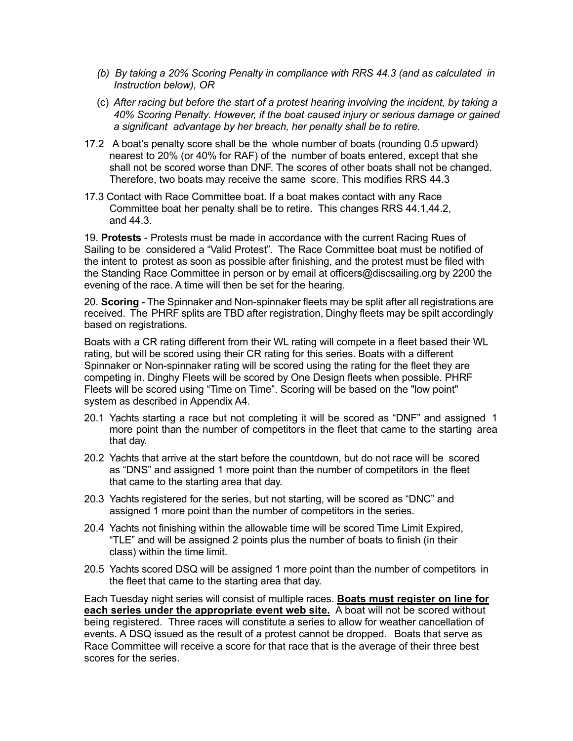- *(b) By taking a 20% Scoring Penalty in compliance with RRS 44.3 (and as calculated in Instruction below), OR*
- (c) *After racing but before the start of a protest hearing involving the incident, by taking a 40% Scoring Penalty. However, if the boat caused injury or serious damage or gained a significant advantage by her breach, her penalty shall be to retire.*
- 17.2 A boat's penalty score shall be the whole number of boats (rounding 0.5 upward) nearest to 20% (or 40% for RAF) of the number of boats entered, except that she shall not be scored worse than DNF. The scores of other boats shall not be changed. Therefore, two boats may receive the same score. This modifies RRS 44.3
- 17.3 Contact with Race Committee boat. If a boat makes contact with any Race Committee boat her penalty shall be to retire. This changes RRS 44.1,44.2, and 44.3.

19. **Protests** - Protests must be made in accordance with the current Racing Rues of Sailing to be considered a "Valid Protest". The Race Committee boat must be notified of the intent to protest as soon as possible after finishing, and the protest must be filed with the Standing Race Committee in person or by email at officers@discsailing.org by 2200 the evening of the race. A time will then be set for the hearing.

20. **Scoring -** The Spinnaker and Non-spinnaker fleets may be split after all registrations are received. The PHRF splits are TBD after registration, Dinghy fleets may be spilt accordingly based on registrations.

Boats with a CR rating different from their WL rating will compete in a fleet based their WL rating, but will be scored using their CR rating for this series. Boats with a different Spinnaker or Non-spinnaker rating will be scored using the rating for the fleet they are competing in. Dinghy Fleets will be scored by One Design fleets when possible. PHRF Fleets will be scored using "Time on Time". Scoring will be based on the "low point" system as described in Appendix A4.

- 20.1 Yachts starting a race but not completing it will be scored as "DNF" and assigned 1 more point than the number of competitors in the fleet that came to the starting area that day.
- 20.2 Yachts that arrive at the start before the countdown, but do not race will be scored as "DNS" and assigned 1 more point than the number of competitors in the fleet that came to the starting area that day.
- 20.3 Yachts registered for the series, but not starting, will be scored as "DNC" and assigned 1 more point than the number of competitors in the series.
- 20.4 Yachts not finishing within the allowable time will be scored Time Limit Expired, "TLE" and will be assigned 2 points plus the number of boats to finish (in their class) within the time limit.
- 20.5 Yachts scored DSQ will be assigned 1 more point than the number of competitors in the fleet that came to the starting area that day.

Each Tuesday night series will consist of multiple races. **Boats must register on line for each series under the appropriate event web site.** A boat will not be scored without being registered. Three races will constitute a series to allow for weather cancellation of events. A DSQ issued as the result of a protest cannot be dropped. Boats that serve as Race Committee will receive a score for that race that is the average of their three best scores for the series.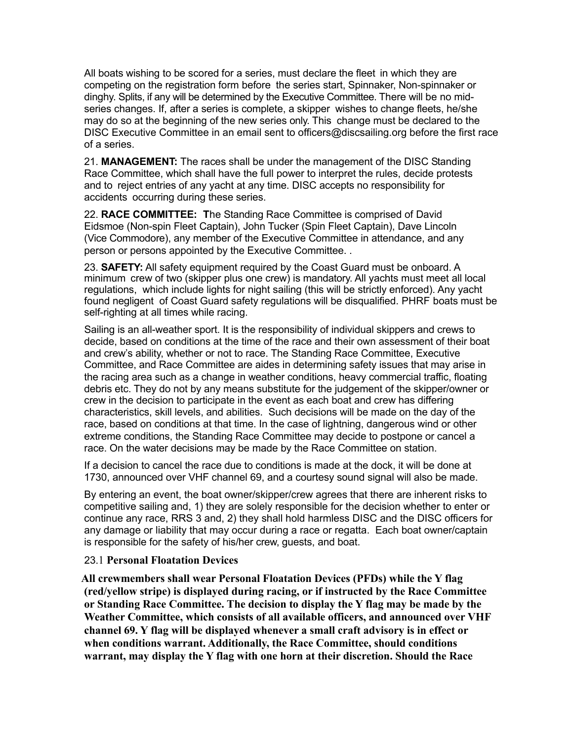All boats wishing to be scored for a series, must declare the fleet in which they are competing on the registration form before the series start, Spinnaker, Non-spinnaker or dinghy. Splits, if any will be determined by the Executive Committee. There will be no midseries changes. If, after a series is complete, a skipper wishes to change fleets, he/she may do so at the beginning of the new series only. This change must be declared to the DISC Executive Committee in an email sent to officers@discsailing.org before the first race of a series.

21. **MANAGEMENT:** The races shall be under the management of the DISC Standing Race Committee, which shall have the full power to interpret the rules, decide protests and to reject entries of any yacht at any time. DISC accepts no responsibility for accidents occurring during these series.

22. **RACE COMMITTEE: T**he Standing Race Committee is comprised of David Eidsmoe (Non-spin Fleet Captain), John Tucker (Spin Fleet Captain), Dave Lincoln (Vice Commodore), any member of the Executive Committee in attendance, and any person or persons appointed by the Executive Committee. .

23. **SAFETY:** All safety equipment required by the Coast Guard must be onboard. A minimum crew of two (skipper plus one crew) is mandatory. All yachts must meet all local regulations, which include lights for night sailing (this will be strictly enforced). Any yacht found negligent of Coast Guard safety regulations will be disqualified. PHRF boats must be self-righting at all times while racing.

 Sailing is an all-weather sport. It is the responsibility of individual skippers and crews to decide, based on conditions at the time of the race and their own assessment of their boat and crew's ability, whether or not to race. The Standing Race Committee, Executive Committee, and Race Committee are aides in determining safety issues that may arise in the racing area such as a change in weather conditions, heavy commercial traffic, floating debris etc. They do not by any means substitute for the judgement of the skipper/owner or crew in the decision to participate in the event as each boat and crew has differing characteristics, skill levels, and abilities. Such decisions will be made on the day of the race, based on conditions at that time. In the case of lightning, dangerous wind or other extreme conditions, the Standing Race Committee may decide to postpone or cancel a race. On the water decisions may be made by the Race Committee on station.

If a decision to cancel the race due to conditions is made at the dock, it will be done at 1730, announced over VHF channel 69, and a courtesy sound signal will also be made.

By entering an event, the boat owner/skipper/crew agrees that there are inherent risks to competitive sailing and, 1) they are solely responsible for the decision whether to enter or continue any race, RRS 3 and, 2) they shall hold harmless DISC and the DISC officers for any damage or liability that may occur during a race or regatta. Each boat owner/captain is responsible for the safety of his/her crew, guests, and boat.

# 23.1 **Personal Floatation Devices**

 **All crewmembers shall wear Personal Floatation Devices (PFDs) while the Y flag (red/yellow stripe) is displayed during racing, or if instructed by the Race Committee or Standing Race Committee. The decision to display the Y flag may be made by the Weather Committee, which consists of all available officers, and announced over VHF channel 69. Y flag will be displayed whenever a small craft advisory is in effect or when conditions warrant. Additionally, the Race Committee, should conditions warrant, may display the Y flag with one horn at their discretion. Should the Race**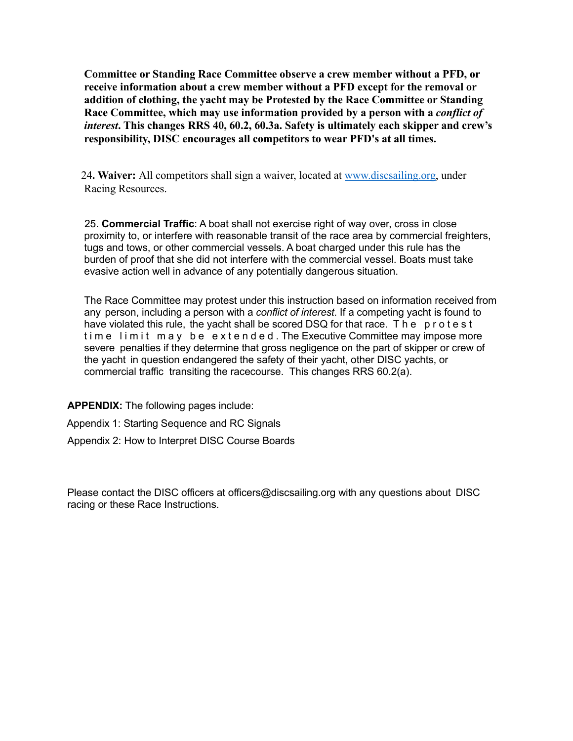**Committee or Standing Race Committee observe a crew member without a PFD, or receive information about a crew member without a PFD except for the removal or addition of clothing, the yacht may be Protested by the Race Committee or Standing Race Committee, which may use information provided by a person with a** *conflict of interest***. This changes RRS 40, 60.2, 60.3a. Safety is ultimately each skipper and crew's responsibility, DISC encourages all competitors to wear PFD's at all times.**

24**. Waiver:** All competitors shall sign a waiver, located at www.discsailing.org, under Racing Resources.

 25. **Commercial Traffic**: A boat shall not exercise right of way over, cross in close proximity to, or interfere with reasonable transit of the race area by commercial freighters, tugs and tows, or other commercial vessels. A boat charged under this rule has the burden of proof that she did not interfere with the commercial vessel. Boats must take evasive action well in advance of any potentially dangerous situation.

The Race Committee may protest under this instruction based on information received from any person, including a person with a *conflict of interest*. If a competing yacht is found to have violated this rule, the yacht shall be scored DSQ for that race. The protest time limit may be extended. The Executive Committee may impose more severe penalties if they determine that gross negligence on the part of skipper or crew of the yacht in question endangered the safety of their yacht, other DISC yachts, or commercial traffic transiting the racecourse. This changes RRS 60.2(a).

**APPENDIX:** The following pages include:

Appendix 1: Starting Sequence and RC Signals

Appendix 2: How to Interpret DISC Course Boards

Please contact the DISC officers at officers@discsailing.org with any questions about DISC racing or these Race Instructions.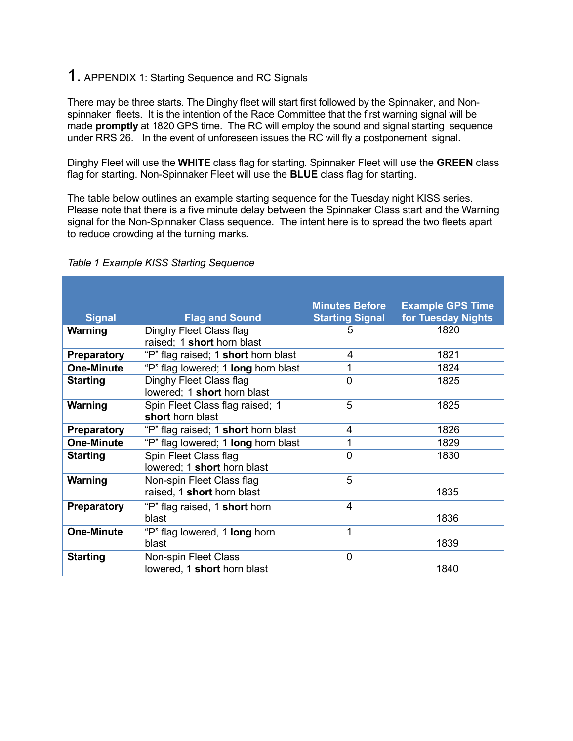# 1. APPENDIX 1: Starting Sequence and RC Signals

There may be three starts. The Dinghy fleet will start first followed by the Spinnaker, and Nonspinnaker fleets. It is the intention of the Race Committee that the first warning signal will be made **promptly** at 1820 GPS time. The RC will employ the sound and signal starting sequence under RRS 26. In the event of unforeseen issues the RC will fly a postponement signal.

Dinghy Fleet will use the **WHITE** class flag for starting. Spinnaker Fleet will use the **GREEN** class flag for starting. Non-Spinnaker Fleet will use the **BLUE** class flag for starting.

The table below outlines an example starting sequence for the Tuesday night KISS series. Please note that there is a five minute delay between the Spinnaker Class start and the Warning signal for the Non-Spinnaker Class sequence. The intent here is to spread the two fleets apart to reduce crowding at the turning marks.

| <b>Signal</b>      | <b>Flag and Sound</b>                                   | <b>Minutes Before</b><br><b>Starting Signal</b> | <b>Example GPS Time</b><br>for Tuesday Nights |
|--------------------|---------------------------------------------------------|-------------------------------------------------|-----------------------------------------------|
| Warning            | Dinghy Fleet Class flag<br>raised; 1 short horn blast   | 5                                               | 1820                                          |
| <b>Preparatory</b> | "P" flag raised; 1 short horn blast                     | 4                                               | 1821                                          |
| <b>One-Minute</b>  | "P" flag lowered; 1 long horn blast                     | 1                                               | 1824                                          |
| <b>Starting</b>    | Dinghy Fleet Class flag<br>lowered; 1 short horn blast  | $\overline{0}$                                  | 1825                                          |
| <b>Warning</b>     | Spin Fleet Class flag raised; 1<br>short horn blast     | 5                                               | 1825                                          |
| <b>Preparatory</b> | "P" flag raised; 1 short horn blast                     | 4                                               | 1826                                          |
| <b>One-Minute</b>  | "P" flag lowered; 1 long horn blast                     | 1                                               | 1829                                          |
| <b>Starting</b>    | Spin Fleet Class flag<br>lowered; 1 short horn blast    | $\overline{0}$                                  | 1830                                          |
| Warning            | Non-spin Fleet Class flag<br>raised, 1 short horn blast | 5                                               | 1835                                          |
| <b>Preparatory</b> | "P" flag raised, 1 short horn<br>blast                  | $\overline{4}$                                  | 1836                                          |
| <b>One-Minute</b>  | "P" flag lowered, 1 long horn<br>blast                  | 1                                               | 1839                                          |
| <b>Starting</b>    | Non-spin Fleet Class<br>lowered, 1 short horn blast     | $\overline{0}$                                  | 1840                                          |

#### *Table 1 Example KISS Starting Sequence*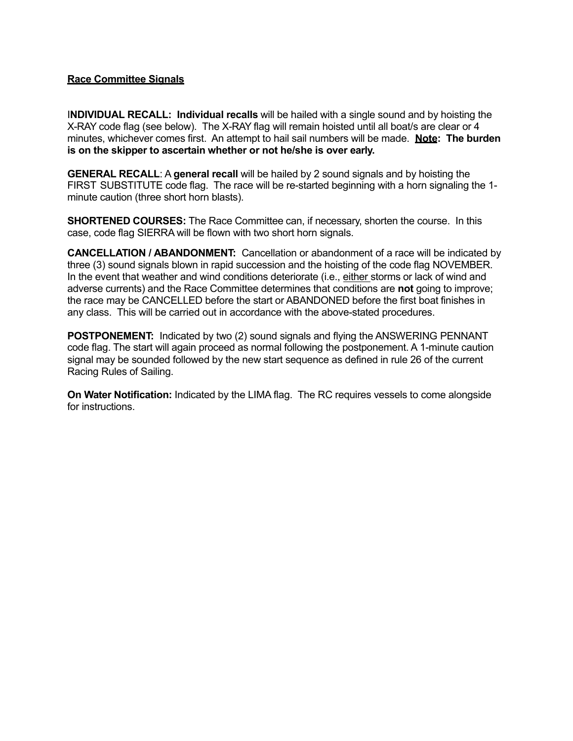### **Race Committee Signals**

I**NDIVIDUAL RECALL: Individual recalls** will be hailed with a single sound and by hoisting the X-RAY code flag (see below). The X-RAY flag will remain hoisted until all boat/s are clear or 4 minutes, whichever comes first. An attempt to hail sail numbers will be made. **Note: The burden is on the skipper to ascertain whether or not he/she is over early.**

**GENERAL RECALL**: A **general recall** will be hailed by 2 sound signals and by hoisting the FIRST SUBSTITUTE code flag. The race will be re-started beginning with a horn signaling the 1 minute caution (three short horn blasts).

**SHORTENED COURSES:** The Race Committee can, if necessary, shorten the course. In this case, code flag SIERRA will be flown with two short horn signals.

**CANCELLATION / ABANDONMENT:** Cancellation or abandonment of a race will be indicated by three (3) sound signals blown in rapid succession and the hoisting of the code flag NOVEMBER. In the event that weather and wind conditions deteriorate (i.e., either storms or lack of wind and adverse currents) and the Race Committee determines that conditions are **not** going to improve; the race may be CANCELLED before the start or ABANDONED before the first boat finishes in any class. This will be carried out in accordance with the above-stated procedures.

**POSTPONEMENT:** Indicated by two (2) sound signals and flying the ANSWERING PENNANT code flag. The start will again proceed as normal following the postponement. A 1-minute caution signal may be sounded followed by the new start sequence as defined in rule 26 of the current Racing Rules of Sailing.

**On Water Notification:** Indicated by the LIMA flag. The RC requires vessels to come alongside for instructions.